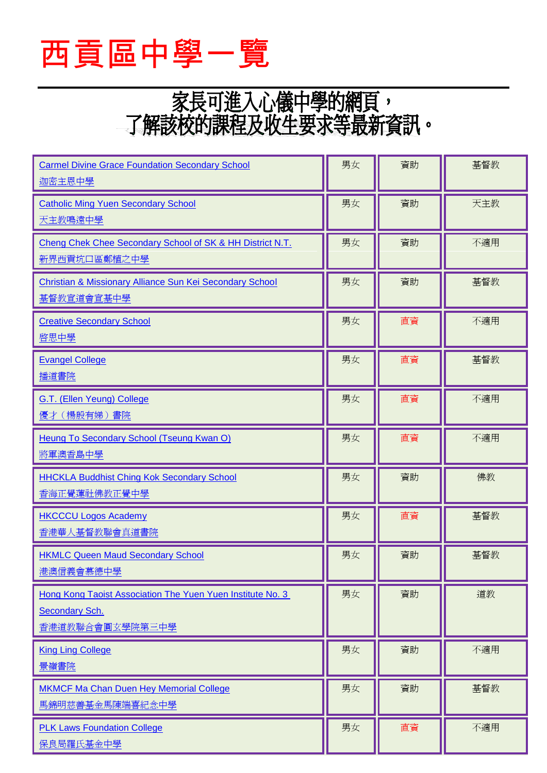

## 家長可進入心儀中學的網頁,<br>了解該校的課程及收生要求等最新資訊。

| <b>Carmel Divine Grace Foundation Secondary School</b><br>迦密主恩中學                                | 男女 | 資助 | 基督教 |
|-------------------------------------------------------------------------------------------------|----|----|-----|
| <b>Catholic Ming Yuen Secondary School</b><br>天主教鳴遠中學                                           | 男女 | 資助 | 天主教 |
| Cheng Chek Chee Secondary School of SK & HH District N.T.<br>新界西貢坑口區鄭植之中學                       | 男女 | 資助 | 不適用 |
| Christian & Missionary Alliance Sun Kei Secondary School<br>基督教宣道會宣基中學                          | 男女 | 資助 | 基督教 |
| <b>Creative Secondary School</b><br>啓思中學                                                        | 男女 | 直資 | 不適用 |
| <b>Evangel College</b><br>播道書院                                                                  | 男女 | 直資 | 基督教 |
| G.T. (Ellen Yeung) College<br>優才(楊殷有娣)書院                                                        | 男女 | 直資 | 不適用 |
| Heung To Secondary School (Tseung Kwan O)<br>將軍澳香島中學                                            | 男女 | 直資 | 不適用 |
| <b>HHCKLA Buddhist Ching Kok Secondary School</b><br>香海正覺蓮社佛教正覺中學                               | 男女 | 資助 | 佛教  |
| <b>HKCCCU Logos Academy</b><br>香港華人基督教聯會真道書院                                                    | 男女 | 直資 | 基督教 |
| <b>HKMLC Queen Maud Secondary School</b><br>港澳信義會慕德中學                                           | 男女 | 資助 | 基督教 |
| Hong Kong Taoist Association The Yuen Yuen Institute No. 3<br>Secondary Sch.<br>香港道教聯合會圓玄學院第三中學 | 男女 | 資助 | 道教  |
| <b>King Ling College</b><br>景嶺書院                                                                | 男女 | 資助 | 不適用 |
| <b>MKMCF Ma Chan Duen Hey Memorial College</b><br>馬錦明慈善基金馬陳端喜紀念中學                               | 男女 | 資助 | 基督教 |
| <b>PLK Laws Foundation College</b><br>保良局羅氏基金中學                                                 | 男女 | 直資 | 不適用 |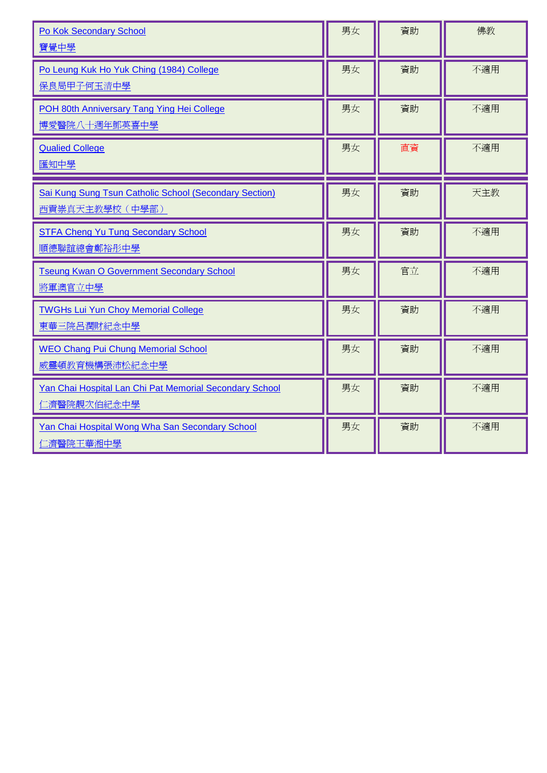| <b>Po Kok Secondary School</b><br>寶覺中學                                    | 男女 | 資助 | 佛教  |
|---------------------------------------------------------------------------|----|----|-----|
| Po Leung Kuk Ho Yuk Ching (1984) College<br>保良局甲子何玉清中學                    | 男女 | 資助 | 不適用 |
| POH 80th Anniversary Tang Ying Hei College<br>博愛醫院八十週年鄧英喜中學               | 男女 | 資助 | 不適用 |
| <b>Qualied College</b><br>匯知中學                                            | 男女 | 直資 | 不適用 |
| Sai Kung Sung Tsun Catholic School (Secondary Section)<br>西貢崇真天主教學校 (中學部) | 男女 | 資助 | 天主教 |
| <b>STFA Cheng Yu Tung Secondary School</b><br>順德聯誼總會鄭裕彤中學                 | 男女 | 資助 | 不適用 |
| <b>Tseung Kwan O Government Secondary School</b><br>將軍澳官立中學               | 男女 | 官立 | 不適用 |
| <b>TWGHs Lui Yun Choy Memorial College</b><br>東華三院呂潤財紀念中學                 | 男女 | 資助 | 不適用 |
| <b>WEO Chang Pui Chung Memorial School</b><br>威靈頓教育機構張沛松紀念中學              | 男女 | 資助 | 不適用 |
| Yan Chai Hospital Lan Chi Pat Memorial Secondary School<br>仁濟醫院靚次伯紀念中學    | 男女 | 資助 | 不適用 |
| Yan Chai Hospital Wong Wha San Secondary School<br>仁濟醫院王華湘中學              | 男女 | 資助 | 不適用 |